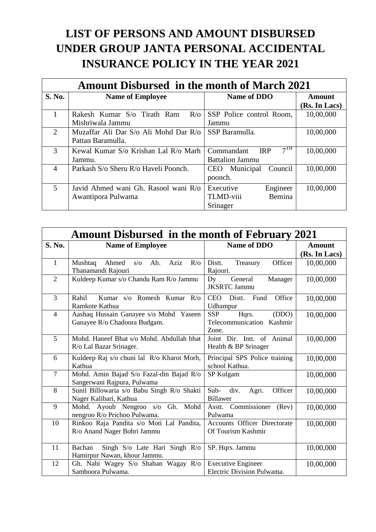## **LIST OF PERSONS AND AMOUNT DISBURSED UNDER GROUP JANTA PERSONAL ACCIDENTAL INSURANCE POLICY IN THE YEAR 2021**

| <b>Amount Disbursed in the month of March 2021</b> |                                           |                                             |               |  |
|----------------------------------------------------|-------------------------------------------|---------------------------------------------|---------------|--|
| <b>S. No.</b>                                      | <b>Name of Employee</b>                   | Name of DDO                                 | Amount        |  |
|                                                    |                                           |                                             | (Rs. In Lacs) |  |
| 1                                                  | Rakesh Kumar S/o Tirath Ram<br>$R/\sigma$ | SSP Police control Room,                    | 10,00,000     |  |
|                                                    | Mishriwala Jammu                          | Jammu                                       |               |  |
| 2                                                  | Muzaffar Ali Dar S/o Ali Mohd Dar R/o     | SSP Baramulla.                              | 10,00,000     |  |
|                                                    | Pattan Baramulla.                         |                                             |               |  |
| 3                                                  | Kewal Kumar S/o Krishan Lal R/o Marh      | 7 <sup>TH</sup><br>Commandant<br><b>IRP</b> | 10,00,000     |  |
|                                                    | Jammu.                                    | <b>Battalion Jammu</b>                      |               |  |
| $\overline{4}$                                     | Parkash S/o Sheru R/o Haveli Poonch.      | CEO Municipal<br>Council                    | 10,00,000     |  |
|                                                    |                                           | poonch.                                     |               |  |
| $\overline{5}$                                     | Javid Ahmed wani Gh. Rasool wani R/o      | Engineer<br>Executive                       | 10,00,000     |  |
|                                                    | Awantipora Pulwama                        | Bemina<br><b>TLMD-viii</b>                  |               |  |
|                                                    |                                           | Srinager                                    |               |  |

| <b>Amount Disbursed in the month of February 2021</b> |                                                                                   |                                                                    |               |  |
|-------------------------------------------------------|-----------------------------------------------------------------------------------|--------------------------------------------------------------------|---------------|--|
| S. No.                                                | <b>Name of Employee</b>                                                           | Name of DDO                                                        | <b>Amount</b> |  |
|                                                       |                                                                                   |                                                                    | (Rs. In Lacs) |  |
| $\mathbf{1}$                                          | Aziz<br>Mushtaq<br>Ahmed<br>Ab.<br>$R/\sigma$<br>$s/\sigma$<br>Thanamandi Rajouri | Officer<br>Distt.<br>Treasury<br>Rajouri.                          | 10,00,000     |  |
| $\overline{2}$                                        | Kuldeep Kumar s/o Chandu Ram R/o Jammu                                            | Dy<br>General<br>Manager<br><b>JKSRTC</b> Jammu                    | 10,00,000     |  |
| $\overline{3}$                                        | Kumar s/o Romesh Kumar R/o<br>Rahil<br>Ramkote Kathua                             | <b>CEO</b><br>Fund<br>Office<br>Distt.<br>Udhampur                 | 10,00,000     |  |
| $\overline{4}$                                        | Aashaq Hussain Ganayee s/o Mohd Yaseen<br>Ganayee R/o Chadoora Budgam.            | <b>SSP</b><br>Hqrs.<br>(DDO)<br>Telecommunication Kashmir<br>Zone. | 10,00,000     |  |
| 5                                                     | Mohd. Haneef Bhat s/o Mohd. Abdullah bhat<br>R/o Lal Bazar Srinager.              | Joint Dir. Intt. of Animal<br>Health & BP Srinager                 | 10,00,000     |  |
| 6                                                     | Kuldeep Raj s/o chuni lal R/o Kharot Morh,<br>Kathua                              | Principal SPS Police training<br>school Kathua.                    | 10,00,000     |  |
| $\overline{7}$                                        | Mohd. Amin Bajad S/o Fazal-din Bajad R/o<br>Sangerwani Rajpura, Pulwama           | SP Kulgam                                                          | 10,00,000     |  |
| 8                                                     | Sunil Billowaria s/o Babu Singh R/o Shakti<br>Nager Kalibari, Kathua              | Sub-<br>div.<br>Agri.<br>Officer<br>Billawer                       | 10,00,000     |  |
| 9                                                     | Mohd<br>Mohd. Ayoub Nengroo s/o Gh.<br>nengroo R/o Prichoo Pulwama.               | Asstt. Commissioner<br>(Rev)<br>Pulwama                            | 10,00,000     |  |
| 10                                                    | Rinkoo Raja Pandita s/o Moti Lal Pandita,<br>R/o Anand Nager Bohri Jammu          | Accounts Officer Directorate<br>Of Tourism Kashmir                 | 10,00,000     |  |
| 11                                                    | Singh S/o Late Hari Singh R/o<br>Bachan<br>Hamirpur Nawan, khour Jammu.           | SP. Hqrs. Jammu                                                    | 10,00,000     |  |
| 12                                                    | Gh. Nabi Wagey S/o Shaban Wagay R/o<br>Samboora Pulwama.                          | <b>Executive Engineer</b><br>Electric Division Pulwama.            | 10,00,000     |  |